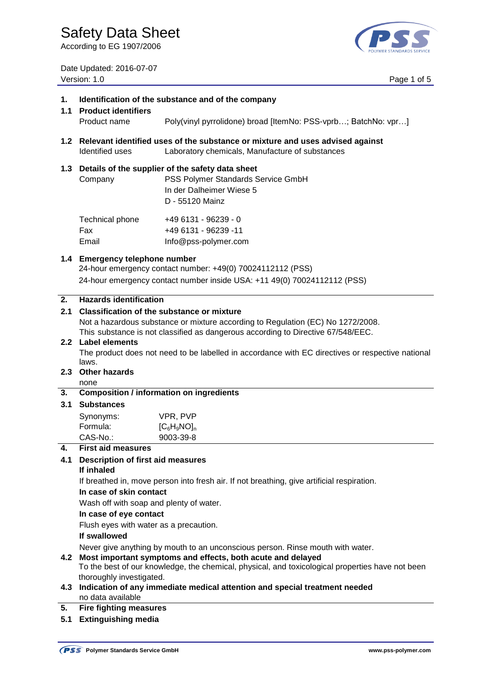**1. Identification of the substance and of the company**

According to EG 1907/2006



Date Updated: 2016-07-07 Version: 1.0 Page 1 of 5

|           | 1.1 Product identifiers<br>Product name                                                                                                                                                                                                                   | Poly(vinyl pyrrolidone) broad [ItemNo: PSS-vprb; BatchNo: vpr]                                                                            |  |
|-----------|-----------------------------------------------------------------------------------------------------------------------------------------------------------------------------------------------------------------------------------------------------------|-------------------------------------------------------------------------------------------------------------------------------------------|--|
|           | Identified uses                                                                                                                                                                                                                                           | 1.2 Relevant identified uses of the substance or mixture and uses advised against<br>Laboratory chemicals, Manufacture of substances      |  |
|           | Company                                                                                                                                                                                                                                                   | 1.3 Details of the supplier of the safety data sheet<br>PSS Polymer Standards Service GmbH<br>In der Dalheimer Wiese 5<br>D - 55120 Mainz |  |
|           | Technical phone<br>Fax<br>Email                                                                                                                                                                                                                           | +49 6131 - 96239 - 0<br>+49 6131 - 96239 -11<br>Info@pss-polymer.com                                                                      |  |
|           | 1.4 Emergency telephone number<br>24-hour emergency contact number: +49(0) 70024112112 (PSS)<br>24-hour emergency contact number inside USA: +11 49(0) 70024112112 (PSS)                                                                                  |                                                                                                                                           |  |
| 2.<br>2.1 | <b>Hazards identification</b><br><b>Classification of the substance or mixture</b><br>Not a hazardous substance or mixture according to Regulation (EC) No 1272/2008.<br>This substance is not classified as dangerous according to Directive 67/548/EEC. |                                                                                                                                           |  |
|           | 2.2 Label elements<br>The product does not need to be labelled in accordance with EC directives or respective national<br>laws.                                                                                                                           |                                                                                                                                           |  |
| 2.3       | <b>Other hazards</b><br>none                                                                                                                                                                                                                              |                                                                                                                                           |  |
| 3.        | <b>Composition / information on ingredients</b>                                                                                                                                                                                                           |                                                                                                                                           |  |
| 3.1       | <b>Substances</b>                                                                                                                                                                                                                                         |                                                                                                                                           |  |
|           | Synonyms:                                                                                                                                                                                                                                                 | VPR, PVP                                                                                                                                  |  |
|           | Formula:                                                                                                                                                                                                                                                  | $[C_6H_9NO]_n$                                                                                                                            |  |
| 4.        | CAS-No.:<br><b>First aid measures</b>                                                                                                                                                                                                                     | 9003-39-8                                                                                                                                 |  |
| 4.1       | <b>Description of first aid measures</b>                                                                                                                                                                                                                  |                                                                                                                                           |  |
|           | If inhaled                                                                                                                                                                                                                                                |                                                                                                                                           |  |
|           |                                                                                                                                                                                                                                                           | If breathed in, move person into fresh air. If not breathing, give artificial respiration.                                                |  |
|           | In case of skin contact                                                                                                                                                                                                                                   |                                                                                                                                           |  |
|           | Wash off with soap and plenty of water.                                                                                                                                                                                                                   |                                                                                                                                           |  |
|           | In case of eye contact                                                                                                                                                                                                                                    |                                                                                                                                           |  |
|           | Flush eyes with water as a precaution.                                                                                                                                                                                                                    |                                                                                                                                           |  |
|           | If swallowed                                                                                                                                                                                                                                              |                                                                                                                                           |  |
| 4.2       | Never give anything by mouth to an unconscious person. Rinse mouth with water.<br>Most important symptoms and effects, both acute and delayed<br>To the best of our knowledge, the chemical, physical, and toxicological properties have not been         |                                                                                                                                           |  |
|           | thoroughly investigated.                                                                                                                                                                                                                                  |                                                                                                                                           |  |
| 4.3       | no data available                                                                                                                                                                                                                                         | Indication of any immediate medical attention and special treatment needed                                                                |  |
| 5.        | <b>Fire fighting measures</b>                                                                                                                                                                                                                             |                                                                                                                                           |  |
| 5.1       | <b>Extinguishing media</b>                                                                                                                                                                                                                                |                                                                                                                                           |  |
|           |                                                                                                                                                                                                                                                           |                                                                                                                                           |  |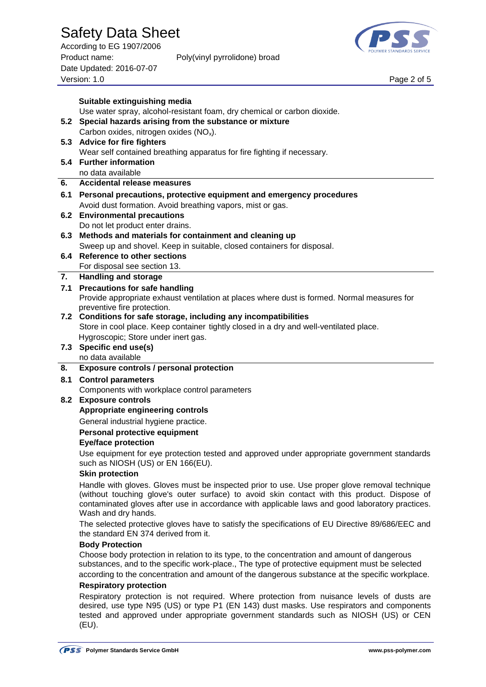### Safety Data Sheet

According to EG 1907/2006 Product name: Poly(vinyl pyrrolidone) broad Date Updated: 2016-07-07 Page 2 of 5<br>Version: 1.0 Page 2 of 5



|    | Suitable extinguishing media                                                                                                                                                                                                                                                                                            |  |  |  |  |
|----|-------------------------------------------------------------------------------------------------------------------------------------------------------------------------------------------------------------------------------------------------------------------------------------------------------------------------|--|--|--|--|
|    | Use water spray, alcohol-resistant foam, dry chemical or carbon dioxide.                                                                                                                                                                                                                                                |  |  |  |  |
|    | 5.2 Special hazards arising from the substance or mixture                                                                                                                                                                                                                                                               |  |  |  |  |
|    | Carbon oxides, nitrogen oxides (NO <sub>x</sub> ).<br>5.3 Advice for fire fighters                                                                                                                                                                                                                                      |  |  |  |  |
|    | Wear self contained breathing apparatus for fire fighting if necessary.                                                                                                                                                                                                                                                 |  |  |  |  |
|    | 5.4 Further information                                                                                                                                                                                                                                                                                                 |  |  |  |  |
|    | no data available                                                                                                                                                                                                                                                                                                       |  |  |  |  |
| 6. | <b>Accidental release measures</b>                                                                                                                                                                                                                                                                                      |  |  |  |  |
|    | 6.1 Personal precautions, protective equipment and emergency procedures                                                                                                                                                                                                                                                 |  |  |  |  |
|    | Avoid dust formation. Avoid breathing vapors, mist or gas.                                                                                                                                                                                                                                                              |  |  |  |  |
|    | 6.2 Environmental precautions<br>Do not let product enter drains.                                                                                                                                                                                                                                                       |  |  |  |  |
|    | 6.3 Methods and materials for containment and cleaning up                                                                                                                                                                                                                                                               |  |  |  |  |
|    | Sweep up and shovel. Keep in suitable, closed containers for disposal.                                                                                                                                                                                                                                                  |  |  |  |  |
|    | 6.4 Reference to other sections                                                                                                                                                                                                                                                                                         |  |  |  |  |
|    | For disposal see section 13.                                                                                                                                                                                                                                                                                            |  |  |  |  |
| 7. | <b>Handling and storage</b>                                                                                                                                                                                                                                                                                             |  |  |  |  |
|    | 7.1 Precautions for safe handling                                                                                                                                                                                                                                                                                       |  |  |  |  |
|    | Provide appropriate exhaust ventilation at places where dust is formed. Normal measures for<br>preventive fire protection.                                                                                                                                                                                              |  |  |  |  |
|    | 7.2 Conditions for safe storage, including any incompatibilities                                                                                                                                                                                                                                                        |  |  |  |  |
|    | Store in cool place. Keep container tightly closed in a dry and well-ventilated place.                                                                                                                                                                                                                                  |  |  |  |  |
|    | Hygroscopic; Store under inert gas.                                                                                                                                                                                                                                                                                     |  |  |  |  |
|    | 7.3 Specific end use(s)                                                                                                                                                                                                                                                                                                 |  |  |  |  |
|    | no data available                                                                                                                                                                                                                                                                                                       |  |  |  |  |
| 8. | Exposure controls / personal protection<br>8.1 Control parameters                                                                                                                                                                                                                                                       |  |  |  |  |
|    | Components with workplace control parameters                                                                                                                                                                                                                                                                            |  |  |  |  |
|    | 8.2 Exposure controls                                                                                                                                                                                                                                                                                                   |  |  |  |  |
|    | Appropriate engineering controls                                                                                                                                                                                                                                                                                        |  |  |  |  |
|    | General industrial hygiene practice.                                                                                                                                                                                                                                                                                    |  |  |  |  |
|    | Personal protective equipment                                                                                                                                                                                                                                                                                           |  |  |  |  |
|    | <b>Eye/face protection</b>                                                                                                                                                                                                                                                                                              |  |  |  |  |
|    | Use equipment for eye protection tested and approved under appropriate government standards<br>such as NIOSH (US) or EN 166(EU).                                                                                                                                                                                        |  |  |  |  |
|    | <b>Skin protection</b>                                                                                                                                                                                                                                                                                                  |  |  |  |  |
|    | Handle with gloves. Gloves must be inspected prior to use. Use proper glove removal technique<br>(without touching glove's outer surface) to avoid skin contact with this product. Dispose of<br>contaminated gloves after use in accordance with applicable laws and good laboratory practices.<br>Wash and dry hands. |  |  |  |  |
|    | The selected protective gloves have to satisfy the specifications of EU Directive 89/686/EEC and<br>the standard EN 374 derived from it.                                                                                                                                                                                |  |  |  |  |
|    | <b>Body Protection</b>                                                                                                                                                                                                                                                                                                  |  |  |  |  |
|    | Choose body protection in relation to its type, to the concentration and amount of dangerous<br>substances, and to the specific work-place., The type of protective equipment must be selected                                                                                                                          |  |  |  |  |
|    | according to the concentration and amount of the dangerous substance at the specific workplace.                                                                                                                                                                                                                         |  |  |  |  |
|    | <b>Respiratory protection</b>                                                                                                                                                                                                                                                                                           |  |  |  |  |
|    | Respiratory protection is not required. Where protection from nuisance levels of dusts are                                                                                                                                                                                                                              |  |  |  |  |

(EU).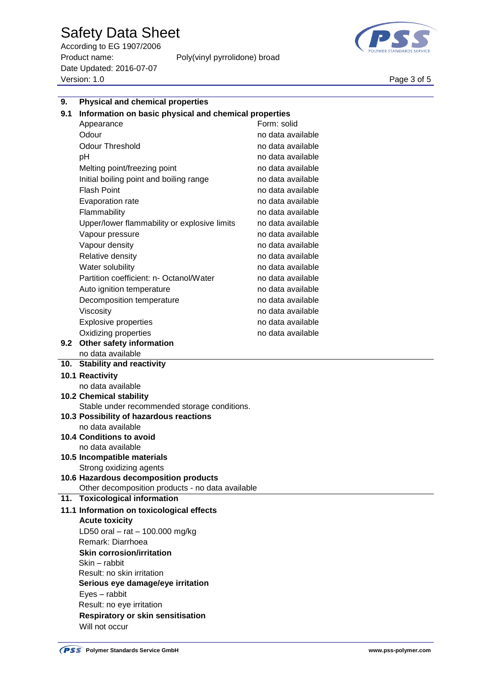# Safety Data Sheet

According to EG 1907/2006 Product name: Poly(vinyl pyrrolidone) broad Date Updated: 2016-07-07 Page 3 of 5<br>Version: 1.0 Page 3 of 5



| 9.  | <b>Physical and chemical properties</b>               |                   |  |  |  |  |
|-----|-------------------------------------------------------|-------------------|--|--|--|--|
| 9.1 | Information on basic physical and chemical properties |                   |  |  |  |  |
|     | Appearance                                            | Form: solid       |  |  |  |  |
|     | Odour                                                 | no data available |  |  |  |  |
|     | <b>Odour Threshold</b>                                | no data available |  |  |  |  |
|     | pH                                                    | no data available |  |  |  |  |
|     | Melting point/freezing point                          | no data available |  |  |  |  |
|     | Initial boiling point and boiling range               | no data available |  |  |  |  |
|     | <b>Flash Point</b>                                    | no data available |  |  |  |  |
|     | Evaporation rate                                      | no data available |  |  |  |  |
|     | Flammability                                          | no data available |  |  |  |  |
|     | Upper/lower flammability or explosive limits          | no data available |  |  |  |  |
|     | Vapour pressure                                       | no data available |  |  |  |  |
|     | Vapour density                                        | no data available |  |  |  |  |
|     | Relative density                                      | no data available |  |  |  |  |
|     | Water solubility                                      | no data available |  |  |  |  |
|     | Partition coefficient: n- Octanol/Water               | no data available |  |  |  |  |
|     | Auto ignition temperature                             | no data available |  |  |  |  |
|     | Decomposition temperature                             | no data available |  |  |  |  |
|     | Viscosity                                             | no data available |  |  |  |  |
|     | <b>Explosive properties</b>                           | no data available |  |  |  |  |
|     | Oxidizing properties                                  | no data available |  |  |  |  |
|     | 9.2 Other safety information                          |                   |  |  |  |  |
|     | no data available                                     |                   |  |  |  |  |
|     | 10. Stability and reactivity                          |                   |  |  |  |  |
|     | 10.1 Reactivity                                       |                   |  |  |  |  |
|     | no data available                                     |                   |  |  |  |  |
|     | <b>10.2 Chemical stability</b>                        |                   |  |  |  |  |
|     | Stable under recommended storage conditions.          |                   |  |  |  |  |
|     | 10.3 Possibility of hazardous reactions               |                   |  |  |  |  |
|     | no data available                                     |                   |  |  |  |  |
|     | <b>10.4 Conditions to avoid</b><br>no data available  |                   |  |  |  |  |
|     | 10.5 Incompatible materials                           |                   |  |  |  |  |
|     | Strong oxidizing agents                               |                   |  |  |  |  |
|     | 10.6 Hazardous decomposition products                 |                   |  |  |  |  |
|     | Other decomposition products - no data available      |                   |  |  |  |  |
| 11. | <b>Toxicological information</b>                      |                   |  |  |  |  |
|     | 11.1 Information on toxicological effects             |                   |  |  |  |  |
|     | <b>Acute toxicity</b>                                 |                   |  |  |  |  |
|     | LD50 oral $-$ rat $-$ 100.000 mg/kg                   |                   |  |  |  |  |
|     | Remark: Diarrhoea                                     |                   |  |  |  |  |
|     | <b>Skin corrosion/irritation</b>                      |                   |  |  |  |  |
|     | Skin - rabbit                                         |                   |  |  |  |  |
|     | Result: no skin irritation                            |                   |  |  |  |  |
|     | Serious eye damage/eye irritation                     |                   |  |  |  |  |
|     | Eyes - rabbit                                         |                   |  |  |  |  |
|     | Result: no eye irritation                             |                   |  |  |  |  |
|     | <b>Respiratory or skin sensitisation</b>              |                   |  |  |  |  |
|     | Will not occur                                        |                   |  |  |  |  |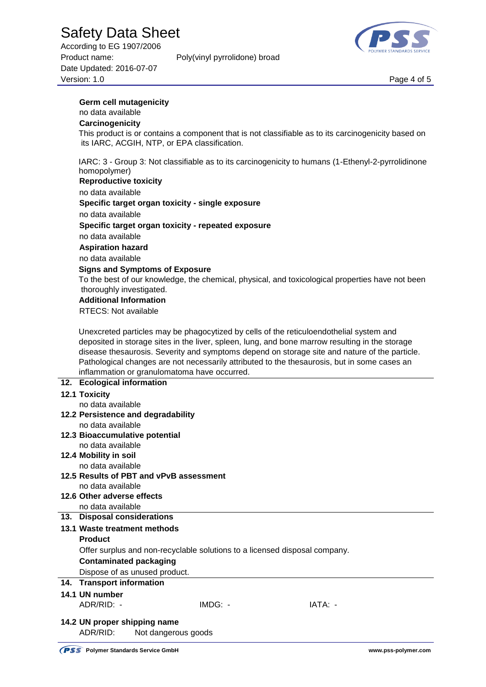# Safety Data Sheet

**Germ cell mutagenicity**

its IARC, ACGIH, NTP, or EPA classification.

According to EG 1907/2006 Product name: Poly(vinyl pyrrolidone) broad Date Updated: 2016-07-07 Page 4 of 5<br>Version: 1.0 Page 4 of 5

no data available **Carcinogenicity**

homopolymer)



This product is or contains a component that is not classifiable as to its carcinogenicity based on

IARC: 3 - Group 3: Not classifiable as to its carcinogenicity to humans (1-Ethenyl-2-pyrrolidinone



|     | <b>Reproductive toxicity</b>                                                                     |  |  |  |
|-----|--------------------------------------------------------------------------------------------------|--|--|--|
|     | no data available                                                                                |  |  |  |
|     | Specific target organ toxicity - single exposure                                                 |  |  |  |
|     | no data available                                                                                |  |  |  |
|     | Specific target organ toxicity - repeated exposure                                               |  |  |  |
|     | no data available                                                                                |  |  |  |
|     | <b>Aspiration hazard</b>                                                                         |  |  |  |
|     | no data available                                                                                |  |  |  |
|     | <b>Signs and Symptoms of Exposure</b>                                                            |  |  |  |
|     | To the best of our knowledge, the chemical, physical, and toxicological properties have not been |  |  |  |
|     | thoroughly investigated.                                                                         |  |  |  |
|     | <b>Additional Information</b>                                                                    |  |  |  |
|     | <b>RTECS: Not available</b>                                                                      |  |  |  |
|     | Unexcreted particles may be phagocytized by cells of the reticuloendothelial system and          |  |  |  |
|     | deposited in storage sites in the liver, spleen, lung, and bone marrow resulting in the storage  |  |  |  |
|     | disease thesaurosis. Severity and symptoms depend on storage site and nature of the particle.    |  |  |  |
|     | Pathological changes are not necessarily attributed to the thesaurosis, but in some cases an     |  |  |  |
|     | inflammation or granulomatoma have occurred.                                                     |  |  |  |
|     | 12. Ecological information                                                                       |  |  |  |
|     | <b>12.1 Toxicity</b>                                                                             |  |  |  |
|     | no data available                                                                                |  |  |  |
|     | 12.2 Persistence and degradability                                                               |  |  |  |
|     | no data available                                                                                |  |  |  |
|     | 12.3 Bioaccumulative potential                                                                   |  |  |  |
|     | no data available<br>12.4 Mobility in soil                                                       |  |  |  |
|     | no data available                                                                                |  |  |  |
|     | 12.5 Results of PBT and vPvB assessment                                                          |  |  |  |
|     | no data available                                                                                |  |  |  |
|     | 12.6 Other adverse effects                                                                       |  |  |  |
|     | no data available                                                                                |  |  |  |
|     | 13. Disposal considerations                                                                      |  |  |  |
|     | 13.1 Waste treatment methods                                                                     |  |  |  |
|     | <b>Product</b>                                                                                   |  |  |  |
|     | Offer surplus and non-recyclable solutions to a licensed disposal company.                       |  |  |  |
|     | <b>Contaminated packaging</b>                                                                    |  |  |  |
|     | Dispose of as unused product.                                                                    |  |  |  |
| 14. | <b>Transport information</b>                                                                     |  |  |  |
|     | 14.1 UN number                                                                                   |  |  |  |
|     | ADR/RID: -<br>IMDG: -<br>IATA: -                                                                 |  |  |  |
|     | 14.2 UN proper shipping name                                                                     |  |  |  |
|     | ADR/RID:<br>Not dangerous goods                                                                  |  |  |  |
|     |                                                                                                  |  |  |  |